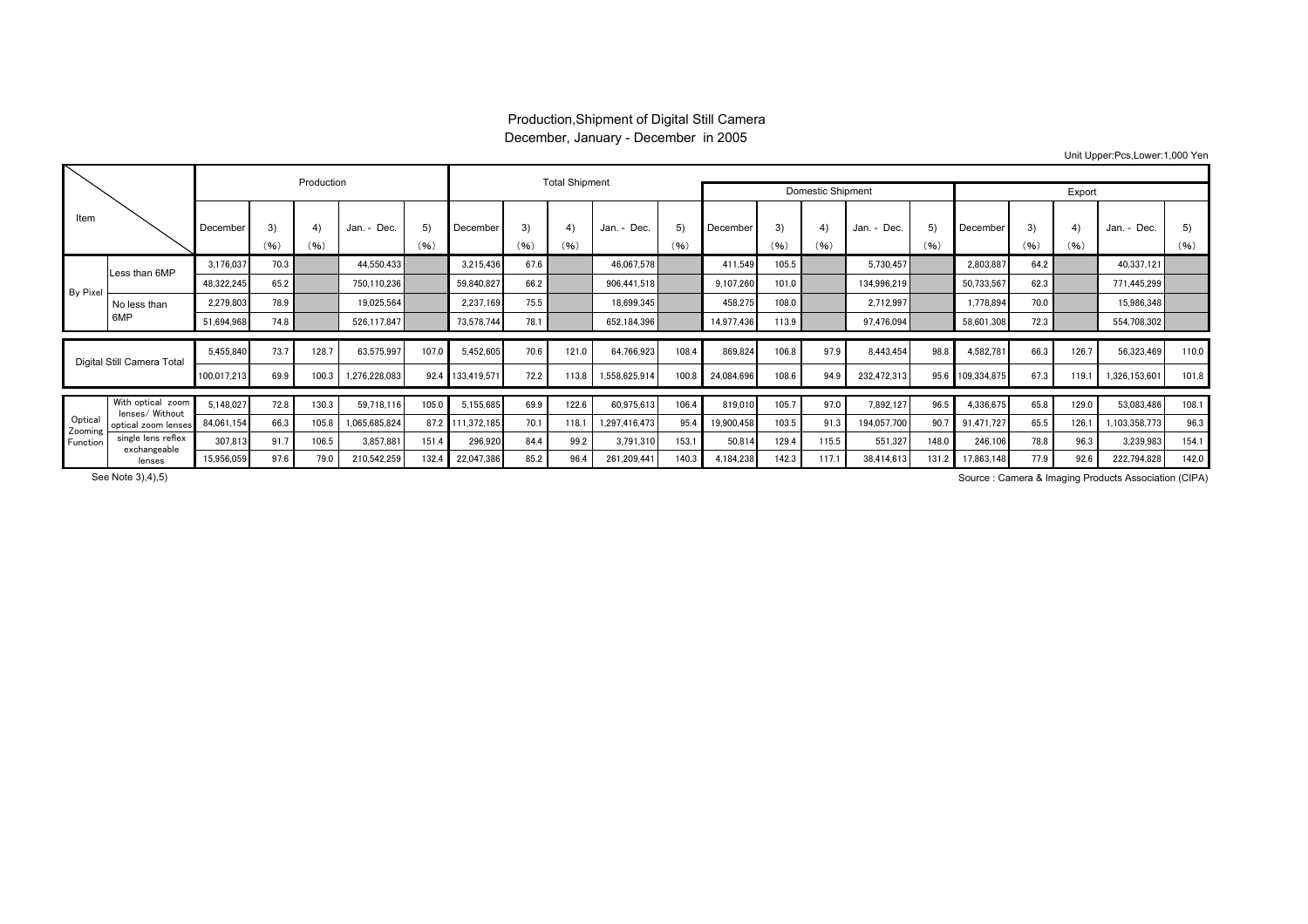## Production,Shipment of Digital Still Camera December, January - December in 2005

Unit Upper:Pcs,Lower:1,000 Yen

|                                |                                      |             |            | Production |                |            |                  | <b>Total Shipment</b> |            |               |            |            |            |            |             |                     |             |            |            |               |            |
|--------------------------------|--------------------------------------|-------------|------------|------------|----------------|------------|------------------|-----------------------|------------|---------------|------------|------------|------------|------------|-------------|---------------------|-------------|------------|------------|---------------|------------|
|                                |                                      |             |            |            |                |            |                  | Domestic Shipment     |            |               | Export     |            |            |            |             |                     |             |            |            |               |            |
| Item                           |                                      | December    | 3)<br>(96) | 4)<br>(96) | Jan. -<br>Dec. | 5)<br>(96) | December         | 3)<br>(96)            | 4)<br>(96) | Jan. - Dec.   | 5)<br>(96) | December   | 3)<br>(96) | 4)<br>(96) | Jan. - Dec. | $5^{\circ}$<br>(96) | December    | 3)<br>(96) | 4)<br>(96) | Jan. - Dec.   | 5)<br>(96) |
| <b>By Pixel</b>                | Less than 6MP                        | 3,176,037   | 70.3       |            | 44,550,433     |            | 3,215,436        | 67.6                  |            | 46,067,578    |            | 411,549    | 105.5      |            | 5.730.457   |                     | 2,803,887   | 64.2       |            | 40,337,121    |            |
|                                |                                      | 48,322,245  | 65.2       |            | 750,110,236    |            | 59,840,827       | 66.2                  |            | 906.441.518   |            | 9,107,260  | 101.0      |            | 134,996,219 |                     | 50,733,567  | 62.3       |            | 771,445,299   |            |
|                                | No less than<br>6MP                  | 2.279.803   | 78.9       |            | 19,025,564     |            | 2.237.169        | 75.5                  |            | 18,699,345    |            | 458,275    | 108.0      |            | 2,712,997   |                     | 1.778.894   | 70.0       |            | 15,986,348    |            |
|                                |                                      | 51,694,968  | 74.8       |            | 526,117,847    |            | 73,578,744       | 78.1                  |            | 652,184,396   |            | 14,977,436 | 113.9      |            | 97,476,094  |                     | 58,601,308  | 72.3       |            | 554,708,302   |            |
| Digital Still Camera Total     |                                      | 5.455.840   | 73.7       | 128.7      | 63.575.997     | 107.0      | 5,452,605        | 70.6                  | 121.0      | 64,766,923    | 108.4      | 869.824    | 106.8      | 97.9       | 8,443,454   | 98.8                | 4,582,781   | 66.3       | 126.7      | 56,323,469    | 110.0      |
|                                |                                      | 100,017,213 | 69.9       | 100.3      | 1,276,228,083  | 92.4       | 133,419,571      | 72.2                  | 113.8      | 1,558,625,914 | 100.8      | 24,084,696 | 108.6      | 94.9       | 232,472,313 | 95.6                | 109,334,875 | 67.3       | 119.1      | 1,326,153,601 | 101.8      |
| Optical<br>Zooming<br>Function | With optical zoom<br>lenses/ Without | 5.148.027   | 72.8       | 130.3      | 59.718.116     | 105.0      | 5.155.685        | 69.9                  | 122.6      | 60.975.613    | 106.4      | 819,010    | 105.7      | 97.0       | 7.892.127   | 96.5                | 4,336,675   | 65.8       | 129.0      | 53,083,486    | 108.1      |
|                                | optical zoom lenses                  | 84,061,154  | 66.3       | 105.8      | 1,065,685,824  |            | 87.2 111,372,185 | 70.1                  | 118.7      | 1,297,416,473 | 95.4       | 19,900,458 | 103.5      | 91.3       | 194,057,700 | 90.7                | 91,471,727  | 65.5       | 126.1      | 103,358,773   | 96.3       |
|                                | single lens reflex<br>exchangeable   | 307,813     | 91.7       | 106.5      | 3,857,881      | 151.4      | 296,920          | 84.4                  | 99.2       | 3,791,310     | 153.       | 50,814     | 129.4      | 115.5      | 551,327     | 148.0               | 246,106     | 78.8       | 96.3       | 3,239,983     | 154.1      |
|                                | lenses                               | 15,956,059  | 97.6       | 79.0       | 210,542,259    | 132.4      | 22,047,386       | 85.2                  | 96.4       | 261,209,441   | 140.3      | 4,184,238  | 142.3      | 117.1      | 38,414,613  | 131.2               | 17,863,148  | 77.9       | 92.6       | 222,794,828   | 142.0      |

Source : Camera & Imaging Products Association (CIPA)

See Note 3),4),5)